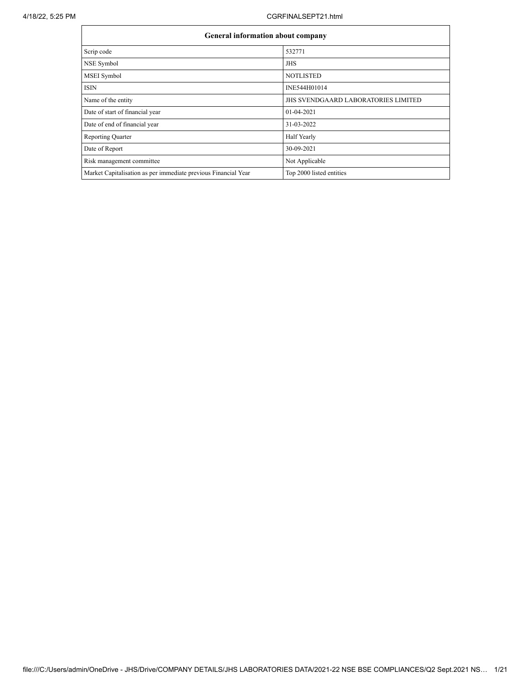$\overline{\mathsf{L}}$ 

| <b>General information about company</b>                       |                                            |
|----------------------------------------------------------------|--------------------------------------------|
| Scrip code                                                     | 532771                                     |
| NSE Symbol                                                     | <b>JHS</b>                                 |
| MSEI Symbol                                                    | <b>NOTLISTED</b>                           |
| <b>ISIN</b>                                                    | INE544H01014                               |
| Name of the entity                                             | <b>JHS SVENDGAARD LABORATORIES LIMITED</b> |
| Date of start of financial year                                | $01-04-2021$                               |
| Date of end of financial year                                  | 31-03-2022                                 |
| <b>Reporting Quarter</b>                                       | Half Yearly                                |
| Date of Report                                                 | 30-09-2021                                 |
| Risk management committee                                      | Not Applicable                             |
| Market Capitalisation as per immediate previous Financial Year | Top 2000 listed entities                   |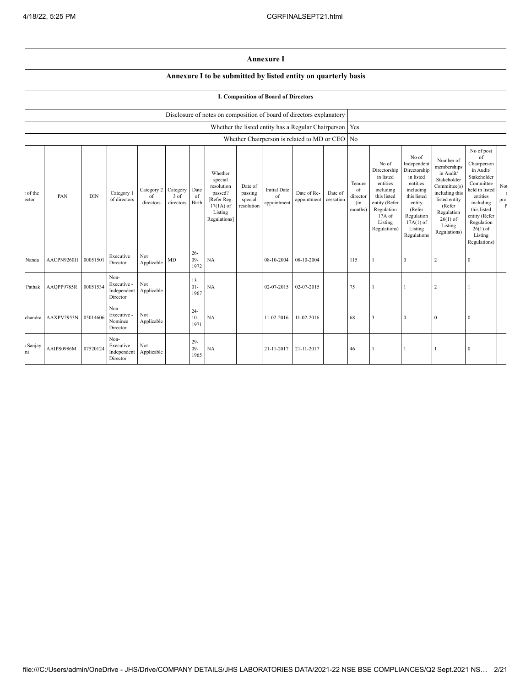## **Annexure I**

## **Annexure I to be submitted by listed entity on quarterly basis**

## **I. Composition of Board of Directors**

|                   |            |            |                                                |                               |                               |                          | Disclosure of notes on composition of board of directors explanatory                                 |                                             |                                          |                                                           |                      |                                            |                                                                                                                                                |                                                                                                                                                                      |                                                                                                                                                                          |                                                                                                                                                                                                            |                                    |
|-------------------|------------|------------|------------------------------------------------|-------------------------------|-------------------------------|--------------------------|------------------------------------------------------------------------------------------------------|---------------------------------------------|------------------------------------------|-----------------------------------------------------------|----------------------|--------------------------------------------|------------------------------------------------------------------------------------------------------------------------------------------------|----------------------------------------------------------------------------------------------------------------------------------------------------------------------|--------------------------------------------------------------------------------------------------------------------------------------------------------------------------|------------------------------------------------------------------------------------------------------------------------------------------------------------------------------------------------------------|------------------------------------|
|                   |            |            |                                                |                               |                               |                          |                                                                                                      |                                             |                                          | Whether the listed entity has a Regular Chairperson   Yes |                      |                                            |                                                                                                                                                |                                                                                                                                                                      |                                                                                                                                                                          |                                                                                                                                                                                                            |                                    |
|                   |            |            |                                                |                               |                               |                          |                                                                                                      |                                             |                                          | Whether Chairperson is related to MD or CEO No            |                      |                                            |                                                                                                                                                |                                                                                                                                                                      |                                                                                                                                                                          |                                                                                                                                                                                                            |                                    |
| : of the<br>ector | PAN        | <b>DIN</b> | Category 1<br>of directors                     | Category 2<br>of<br>directors | Category<br>3 of<br>directors | Date<br>of<br>Birth      | Whether<br>special<br>resolution<br>passed?<br>[Refer Reg.<br>$17(1A)$ of<br>Listing<br>Regulations] | Date of<br>passing<br>special<br>resolution | <b>Initial Date</b><br>of<br>appointment | Date of Re-<br>appointment                                | Date of<br>cessation | Tenure<br>of<br>director<br>(in<br>months) | No of<br>Directorship<br>in listed<br>entities<br>including<br>this listed<br>entity (Refer<br>Regulation<br>17A of<br>Listing<br>Regulations) | No of<br>Independent<br>Directorship<br>in listed<br>entities<br>including<br>this listed<br>entity<br>(Refer<br>Regulation<br>$17A(1)$ of<br>Listing<br>Regulations | Number of<br>memberships<br>in Audit/<br>Stakeholder<br>Committee(s)<br>including this<br>listed entity<br>(Refer<br>Regulation<br>$26(1)$ of<br>Listing<br>Regulations) | No of post<br>of<br>Chairperson<br>in Audit/<br>Stakeholder<br>Committee<br>held in listed<br>entities<br>including<br>this listed<br>entity (Refer<br>Regulation<br>$26(1)$ of<br>Listing<br>Regulations) | $\rm No$<br>$_{\rm pro}^{\rm pro}$ |
| Nanda             | AACPN9260H | 00051501   | Executive<br>Director                          | Not<br>Applicable             | <b>MD</b>                     | $26 -$<br>$09 -$<br>1972 | NA                                                                                                   |                                             | 08-10-2004                               | 08-10-2004                                                |                      | 115                                        |                                                                                                                                                | $\mathbf{0}$                                                                                                                                                         | 2                                                                                                                                                                        | $\mathbf{0}$                                                                                                                                                                                               |                                    |
| Pathak            | AAQPP9785R | 00051534   | Non-<br>Executive -<br>Independent<br>Director | Not<br>Applicable             |                               | $13 -$<br>$01 -$<br>1967 | <b>NA</b>                                                                                            |                                             | 02-07-2015                               | 02-07-2015                                                |                      | 75                                         |                                                                                                                                                | $\overline{1}$                                                                                                                                                       | 2                                                                                                                                                                        | 1                                                                                                                                                                                                          |                                    |
| chandra           | AAXPV2953N | 05014606   | Non-<br>Executive -<br>Nominee<br>Director     | Not<br>Applicable             |                               | $24 -$<br>$10-$<br>1971  | <b>NA</b>                                                                                            |                                             | 11-02-2016                               | 11-02-2016                                                |                      | 68                                         | 3                                                                                                                                              | $\mathbf{0}$                                                                                                                                                         | $\theta$                                                                                                                                                                 | $\bf{0}$                                                                                                                                                                                                   |                                    |
| ı Sanjay<br>ni    | AAIPS0986M | 07520124   | Non-<br>Executive -<br>Independent<br>Director | Not<br>Applicable             |                               | $29 -$<br>$09 -$<br>1965 | NA                                                                                                   |                                             | 21-11-2017                               | 21-11-2017                                                |                      | 46                                         |                                                                                                                                                |                                                                                                                                                                      |                                                                                                                                                                          | $\mathbf{0}$                                                                                                                                                                                               |                                    |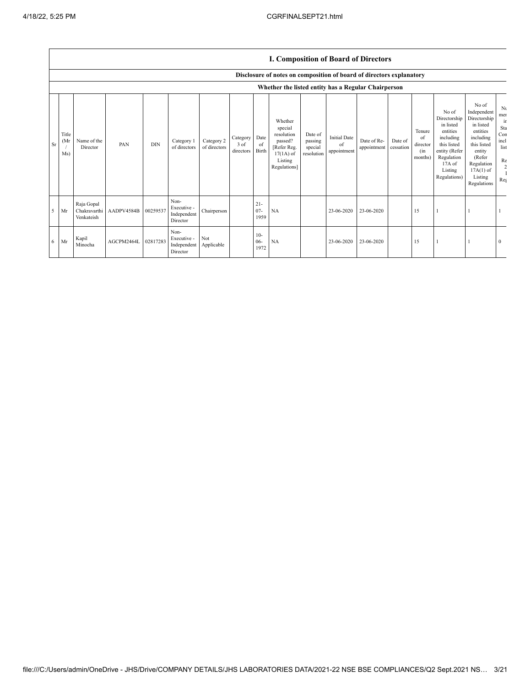## **I. Composition of Board of Directors**

|           |                      |                                          |            |            |                                                |                            |                               |                          | Disclosure of notes on composition of board of directors explanatory                                 |                                             |                                          |                            |                      |                                            |                                                                                                                                                |                                                                                                                                                                      |                                                                 |
|-----------|----------------------|------------------------------------------|------------|------------|------------------------------------------------|----------------------------|-------------------------------|--------------------------|------------------------------------------------------------------------------------------------------|---------------------------------------------|------------------------------------------|----------------------------|----------------------|--------------------------------------------|------------------------------------------------------------------------------------------------------------------------------------------------|----------------------------------------------------------------------------------------------------------------------------------------------------------------------|-----------------------------------------------------------------|
|           |                      |                                          |            |            |                                                |                            |                               |                          | Whether the listed entity has a Regular Chairperson                                                  |                                             |                                          |                            |                      |                                            |                                                                                                                                                |                                                                                                                                                                      |                                                                 |
| <b>Sr</b> | Title<br>(Mr)<br>Ms) | Name of the<br>Director                  | PAN        | <b>DIN</b> | Category 1<br>of directors                     | Category 2<br>of directors | Category<br>3 of<br>directors | Date<br>of<br>Birth      | Whether<br>special<br>resolution<br>passed?<br>[Refer Reg.<br>$17(1A)$ of<br>Listing<br>Regulations] | Date of<br>passing<br>special<br>resolution | <b>Initial Date</b><br>of<br>appointment | Date of Re-<br>appointment | Date of<br>cessation | Tenure<br>of<br>director<br>(in<br>months) | No of<br>Directorship<br>in listed<br>entities<br>including<br>this listed<br>entity (Refer<br>Regulation<br>17A of<br>Listing<br>Regulations) | No of<br>Independent<br>Directorship<br>in listed<br>entities<br>including<br>this listed<br>entity<br>(Refer<br>Regulation<br>$17A(1)$ of<br>Listing<br>Regulations | Nι<br>mer<br>ir<br>Sta<br>Con<br>incl<br>list<br>Re<br>2<br>Reg |
| 5         | Mr                   | Raja Gopal<br>Chakravarthi<br>Venkateish | AADPV4584B | 00259537   | Non-<br>Executive -<br>Independent<br>Director | Chairperson                |                               | $21 -$<br>$07 -$<br>1959 | NA                                                                                                   |                                             | 23-06-2020                               | 23-06-2020                 |                      | 15                                         |                                                                                                                                                |                                                                                                                                                                      |                                                                 |
| 6         | Mr                   | Kapil<br>Minocha                         | AGCPM2464L | 02817283   | Non-<br>Executive -<br>Independent<br>Director | Not<br>Applicable          |                               | $10-$<br>$06 -$<br>1972  | NA                                                                                                   |                                             | 23-06-2020                               | 23-06-2020                 |                      | 15                                         |                                                                                                                                                |                                                                                                                                                                      | $\mathbf{0}$                                                    |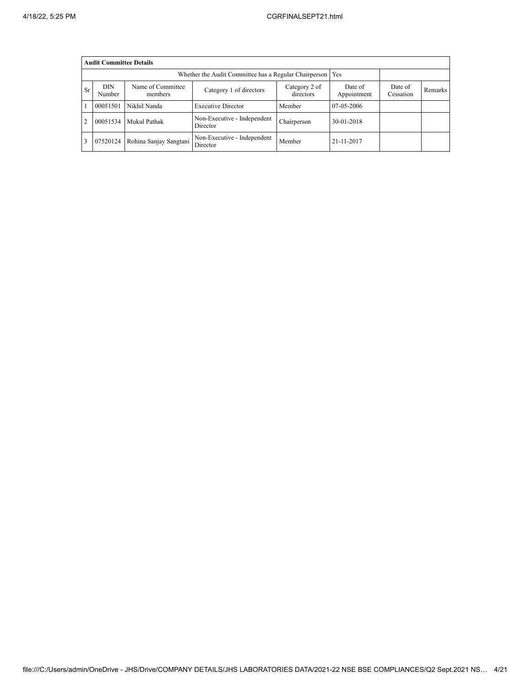|                                                                                                                                        | <b>Audit Committee Details</b> |                        |                                                             |             |            |  |         |
|----------------------------------------------------------------------------------------------------------------------------------------|--------------------------------|------------------------|-------------------------------------------------------------|-------------|------------|--|---------|
|                                                                                                                                        |                                |                        | Whether the Audit Committee has a Regular Chairperson   Yes |             |            |  |         |
| DIN<br>Name of Committee<br>Date of<br>Category 2 of<br>Sr<br>Category 1 of directors<br>directors<br>Appointment<br>Number<br>members |                                |                        |                                                             |             |            |  | Remarks |
|                                                                                                                                        | 00051501                       | Nikhil Nanda           | <b>Executive Director</b>                                   | Member      | 07-05-2006 |  |         |
| $\overline{2}$                                                                                                                         | 00051534                       | Mukul Pathak           | Non-Executive - Independent<br>Director                     | Chairperson | 30-01-2018 |  |         |
| 3                                                                                                                                      | 07520124                       | Rohina Sanjay Sangtani | Non-Executive - Independent<br>Director                     | Member      | 21-11-2017 |  |         |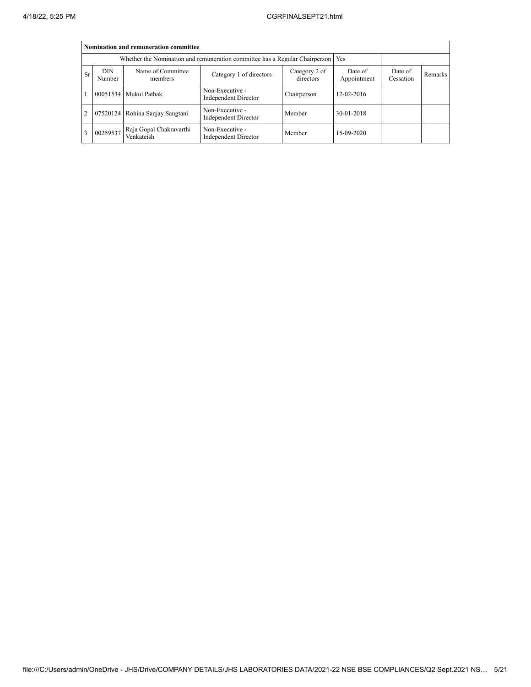|                |                      | Nomination and remuneration committee |                                                                                   |                        |                      |         |  |
|----------------|----------------------|---------------------------------------|-----------------------------------------------------------------------------------|------------------------|----------------------|---------|--|
|                |                      |                                       | Whether the Nomination and remuneration committee has a Regular Chairperson   Yes |                        |                      |         |  |
| Sr             | <b>DIN</b><br>Number | Name of Committee<br>members          | Category 2 of<br>directors                                                        | Date of<br>Appointment | Date of<br>Cessation | Remarks |  |
|                |                      | 00051534 Mukul Pathak                 | Non-Executive -<br>Independent Director                                           | Chairperson            | 12-02-2016           |         |  |
| $\overline{c}$ |                      | 07520124 Rohina Sanjay Sangtani       | Non-Executive -<br>Independent Director                                           | Member                 | 30-01-2018           |         |  |
| 3              | 00259537             | Raja Gopal Chakravarthi<br>Venkateish | Non-Executive -<br>Independent Director                                           | Member                 | 15-09-2020           |         |  |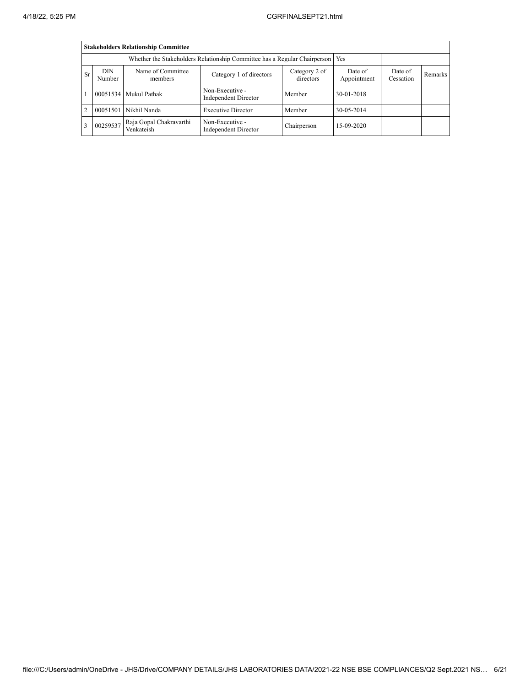|                |                | <b>Stakeholders Relationship Committee</b> |                                                                                 |                            |                        |                      |         |
|----------------|----------------|--------------------------------------------|---------------------------------------------------------------------------------|----------------------------|------------------------|----------------------|---------|
|                |                |                                            | Whether the Stakeholders Relationship Committee has a Regular Chairperson   Yes |                            |                        |                      |         |
| Sr             | DIN.<br>Number | Name of Committee<br>members               | Category 1 of directors                                                         | Category 2 of<br>directors | Date of<br>Appointment | Date of<br>Cessation | Remarks |
|                |                | 00051534   Mukul Pathak                    | Non-Executive -<br>Independent Director                                         | Member                     | 30-01-2018             |                      |         |
| $\overline{2}$ | 00051501       | Nikhil Nanda                               | <b>Executive Director</b>                                                       | Member                     | 30-05-2014             |                      |         |
| 3              | 00259537       | Raja Gopal Chakravarthi<br>Venkateish      | Non-Executive -<br><b>Independent Director</b>                                  | Chairperson                | 15-09-2020             |                      |         |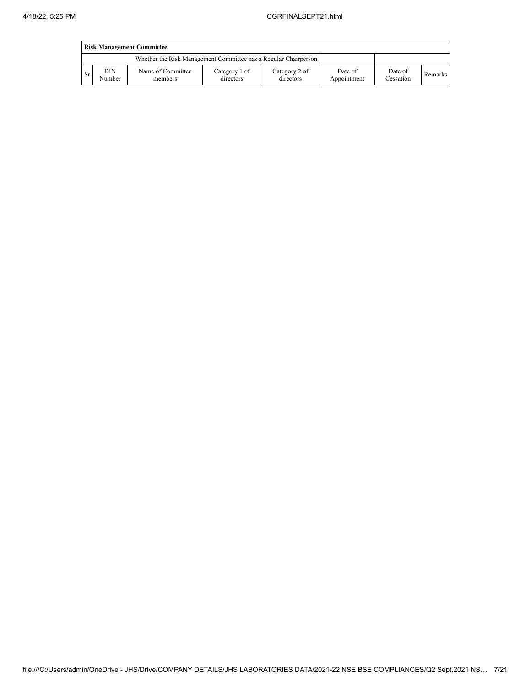|     | <b>Risk Management Committee</b> |                                                                 |                            |                            |                        |                      |         |  |  |  |  |
|-----|----------------------------------|-----------------------------------------------------------------|----------------------------|----------------------------|------------------------|----------------------|---------|--|--|--|--|
|     |                                  | Whether the Risk Management Committee has a Regular Chairperson |                            |                            |                        |                      |         |  |  |  |  |
| -Sr | DIN<br>Number                    | Name of Committee<br>members                                    | Category 1 of<br>directors | Category 2 of<br>directors | Date of<br>Appointment | Date of<br>Cessation | Remarks |  |  |  |  |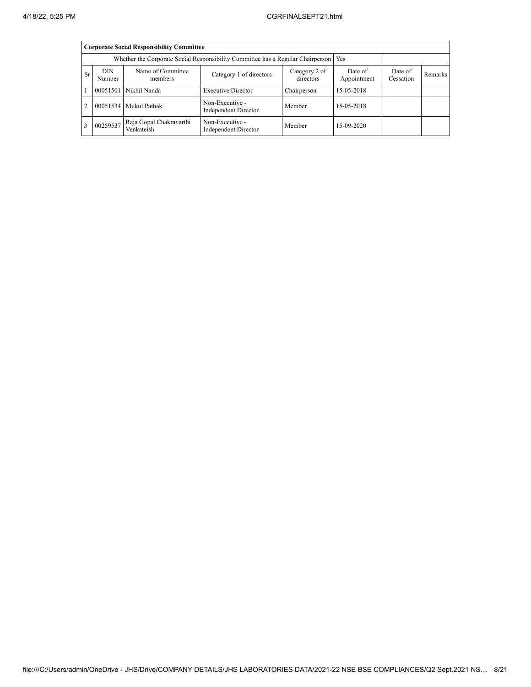|                |                | <b>Corporate Social Responsibility Committee</b> |                                                                                       |                        |                      |         |  |
|----------------|----------------|--------------------------------------------------|---------------------------------------------------------------------------------------|------------------------|----------------------|---------|--|
|                |                |                                                  | Whether the Corporate Social Responsibility Committee has a Regular Chairperson   Yes |                        |                      |         |  |
| Sr             | DIN.<br>Number | Name of Committee<br>members                     | Category 2 of<br>directors                                                            | Date of<br>Appointment | Date of<br>Cessation | Remarks |  |
|                |                | 00051501 Nikhil Nanda                            | <b>Executive Director</b>                                                             | Chairperson            | 15-05-2018           |         |  |
| $\overline{c}$ |                | 00051534   Mukul Pathak                          | Non-Executive -<br>Independent Director                                               | Member                 | 15-05-2018           |         |  |
| 3              | 00259537       | Raja Gopal Chakravarthi<br>Venkateish            | Non-Executive -<br>Independent Director                                               | Member                 | 15-09-2020           |         |  |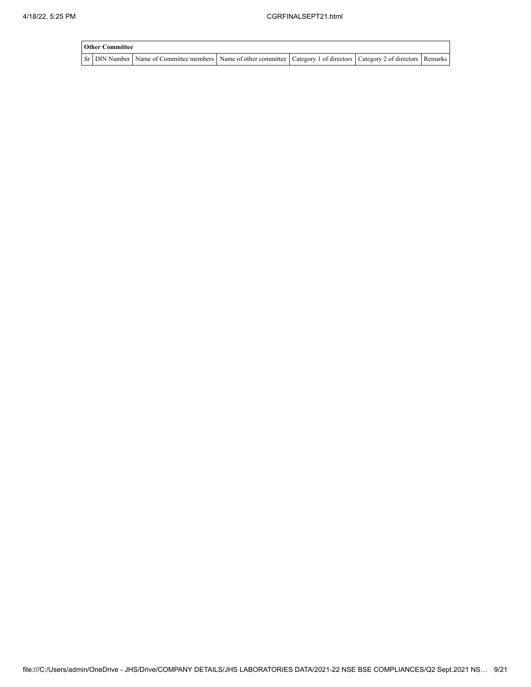| <b>Other Committee</b> |                                                                                                                                     |  |  |
|------------------------|-------------------------------------------------------------------------------------------------------------------------------------|--|--|
|                        | Sr   DIN Number   Name of Committee members   Name of other committee   Category 1 of directors   Category 2 of directors   Remarks |  |  |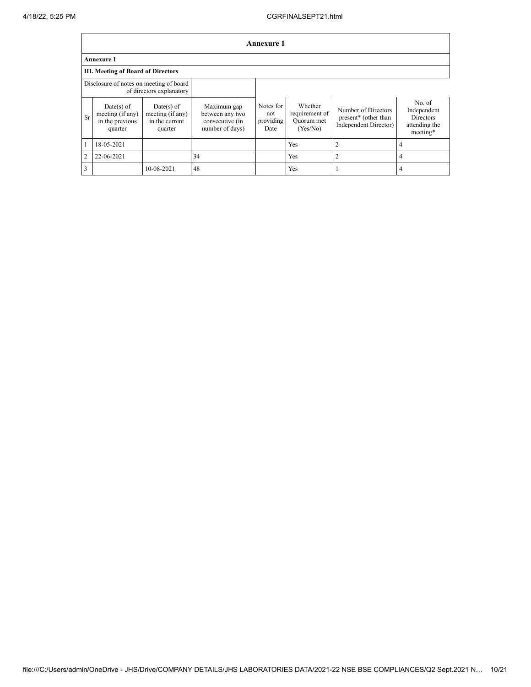|                | <b>Annexure 1</b>                                              |                                                               |                                                                      |                                       |                                                     |                                                                      |                                                                        |  |  |  |  |
|----------------|----------------------------------------------------------------|---------------------------------------------------------------|----------------------------------------------------------------------|---------------------------------------|-----------------------------------------------------|----------------------------------------------------------------------|------------------------------------------------------------------------|--|--|--|--|
|                | <b>Annexure 1</b>                                              |                                                               |                                                                      |                                       |                                                     |                                                                      |                                                                        |  |  |  |  |
|                | <b>III. Meeting of Board of Directors</b>                      |                                                               |                                                                      |                                       |                                                     |                                                                      |                                                                        |  |  |  |  |
|                | Disclosure of notes on meeting of board                        | of directors explanatory                                      |                                                                      |                                       |                                                     |                                                                      |                                                                        |  |  |  |  |
| Sr             | $Date(s)$ of<br>meeting (if any)<br>in the previous<br>quarter | $Date(s)$ of<br>meeting (if any)<br>in the current<br>quarter | Maximum gap<br>between any two<br>consecutive (in<br>number of days) | Notes for<br>not<br>providing<br>Date | Whether<br>requirement of<br>Quorum met<br>(Yes/No) | Number of Directors<br>present* (other than<br>Independent Director) | No. of<br>Independent<br><b>Directors</b><br>attending the<br>meeting* |  |  |  |  |
|                | 18-05-2021                                                     |                                                               |                                                                      |                                       | Yes                                                 | $\overline{2}$                                                       | $\overline{4}$                                                         |  |  |  |  |
| $\overline{2}$ | 22-06-2021                                                     |                                                               | 34                                                                   |                                       | <b>Yes</b>                                          | $\overline{2}$                                                       | $\overline{4}$                                                         |  |  |  |  |
| 3              |                                                                | 10-08-2021                                                    | 48                                                                   |                                       | <b>Yes</b>                                          |                                                                      | $\overline{4}$                                                         |  |  |  |  |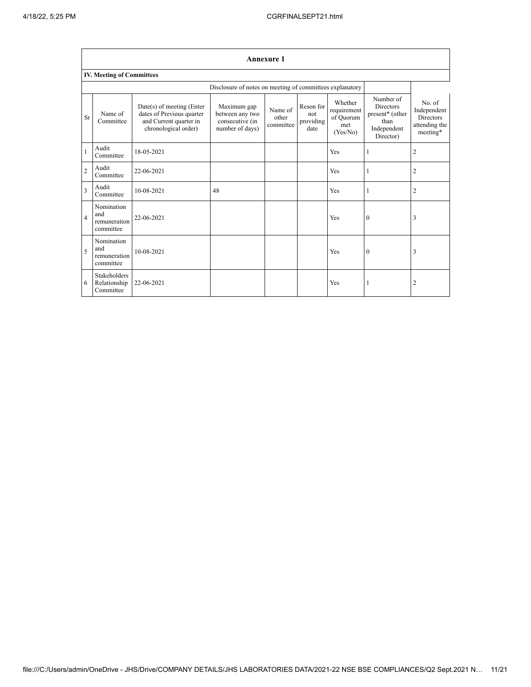|                | <b>Annexure 1</b>                              |                                                                                                          |                                                                      |                               |                                       |                                                        |                                                                                      |                                                                        |  |  |  |
|----------------|------------------------------------------------|----------------------------------------------------------------------------------------------------------|----------------------------------------------------------------------|-------------------------------|---------------------------------------|--------------------------------------------------------|--------------------------------------------------------------------------------------|------------------------------------------------------------------------|--|--|--|
|                | <b>IV. Meeting of Committees</b>               |                                                                                                          |                                                                      |                               |                                       |                                                        |                                                                                      |                                                                        |  |  |  |
|                |                                                |                                                                                                          | Disclosure of notes on meeting of committees explanatory             |                               |                                       |                                                        |                                                                                      |                                                                        |  |  |  |
| Sr             | Name of<br>Committee                           | Date(s) of meeting (Enter<br>dates of Previous quarter<br>and Current quarter in<br>chronological order) | Maximum gap<br>between any two<br>consecutive (in<br>number of days) | Name of<br>other<br>committee | Reson for<br>not<br>providing<br>date | Whether<br>requirement<br>of Quorum<br>met<br>(Yes/No) | Number of<br><b>Directors</b><br>present* (other<br>than<br>Independent<br>Director) | No. of<br>Independent<br><b>Directors</b><br>attending the<br>meeting* |  |  |  |
| $\mathbf{1}$   | Audit<br>Committee                             | 18-05-2021                                                                                               |                                                                      |                               |                                       | Yes                                                    | 1                                                                                    | $\overline{2}$                                                         |  |  |  |
| $\overline{c}$ | Audit<br>Committee                             | 22-06-2021                                                                                               |                                                                      |                               |                                       | Yes                                                    | 1                                                                                    | $\overline{2}$                                                         |  |  |  |
| 3              | Audit<br>Committee                             | 10-08-2021                                                                                               | 48                                                                   |                               |                                       | Yes                                                    | 1                                                                                    | $\overline{c}$                                                         |  |  |  |
| $\overline{4}$ | Nomination<br>and<br>remuneration<br>committee | 22-06-2021                                                                                               |                                                                      |                               |                                       | Yes                                                    | $\mathbf{0}$                                                                         | 3                                                                      |  |  |  |
| 5              | Nomination<br>and<br>remuneration<br>committee | 10-08-2021                                                                                               |                                                                      |                               |                                       | Yes                                                    | $\mathbf{0}$                                                                         | 3                                                                      |  |  |  |
| 6              | Stakeholders<br>Relationship<br>Committee      | 22-06-2021                                                                                               |                                                                      |                               |                                       | Yes                                                    |                                                                                      | $\overline{2}$                                                         |  |  |  |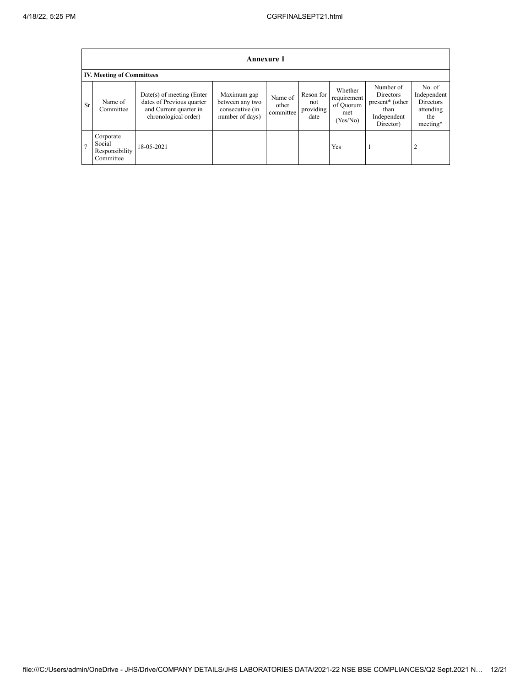|                | <b>Annexure 1</b>                                  |                                                                                                            |                                                                      |                               |                                       |                                                       |                                                                                           |                                                                    |  |  |
|----------------|----------------------------------------------------|------------------------------------------------------------------------------------------------------------|----------------------------------------------------------------------|-------------------------------|---------------------------------------|-------------------------------------------------------|-------------------------------------------------------------------------------------------|--------------------------------------------------------------------|--|--|
|                | <b>IV. Meeting of Committees</b>                   |                                                                                                            |                                                                      |                               |                                       |                                                       |                                                                                           |                                                                    |  |  |
| <b>Sr</b>      | Name of<br>Committee                               | $Date(s)$ of meeting (Enter<br>dates of Previous quarter<br>and Current quarter in<br>chronological order) | Maximum gap<br>between any two<br>consecutive (in<br>number of days) | Name of<br>other<br>committee | Reson for<br>not<br>providing<br>date | Whether<br>requirement<br>of Quorum<br>met<br>Yes/No) | Number of<br>Directors<br>present <sup>*</sup> (other<br>than<br>Independent<br>Director) | No. of<br>Independent<br>Directors<br>attending<br>the<br>meeting* |  |  |
| $\overline{ }$ | Corporate<br>Social<br>Responsibility<br>Committee | 18-05-2021                                                                                                 |                                                                      |                               |                                       | Yes                                                   |                                                                                           |                                                                    |  |  |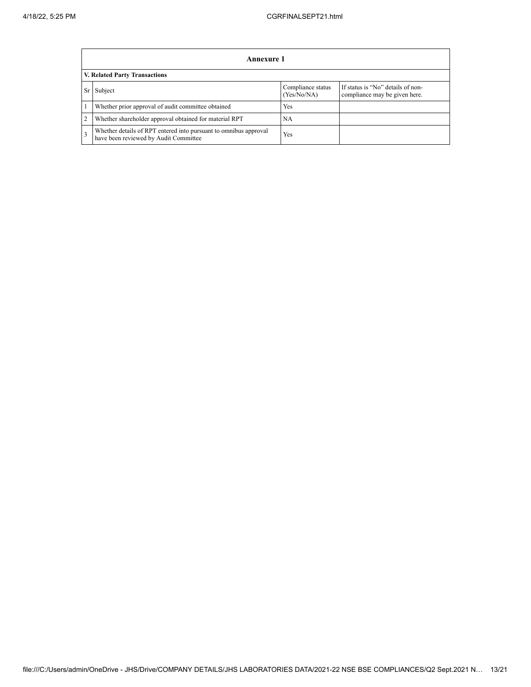|                | Annexure 1                                                                                                |                                  |                                                                    |  |
|----------------|-----------------------------------------------------------------------------------------------------------|----------------------------------|--------------------------------------------------------------------|--|
|                | V. Related Party Transactions                                                                             |                                  |                                                                    |  |
| Sr             | Subject                                                                                                   | Compliance status<br>(Yes/No/NA) | If status is "No" details of non-<br>compliance may be given here. |  |
|                | Whether prior approval of audit committee obtained                                                        | <b>Yes</b>                       |                                                                    |  |
| $\overline{2}$ | Whether shareholder approval obtained for material RPT                                                    | NA                               |                                                                    |  |
| 3              | Whether details of RPT entered into pursuant to omnibus approval<br>have been reviewed by Audit Committee | Yes                              |                                                                    |  |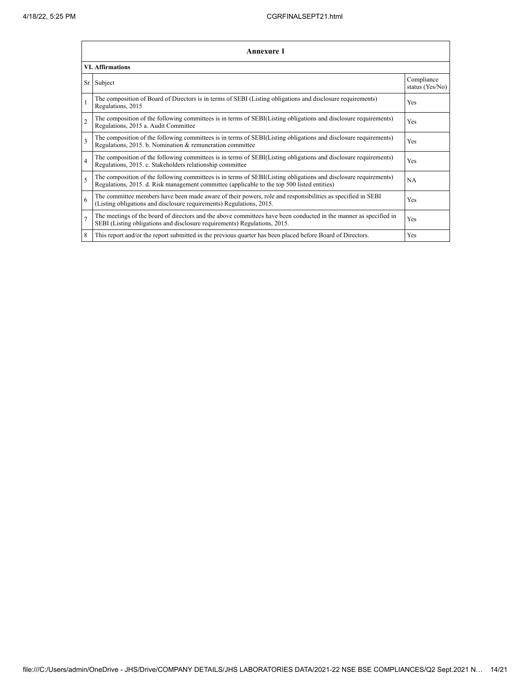|                         | Annexure 1                                                                                                                                                                                                      |                               |  |  |
|-------------------------|-----------------------------------------------------------------------------------------------------------------------------------------------------------------------------------------------------------------|-------------------------------|--|--|
|                         | <b>VI. Affirmations</b>                                                                                                                                                                                         |                               |  |  |
| Sr                      | Subject                                                                                                                                                                                                         | Compliance<br>status (Yes/No) |  |  |
| $\mathbf{1}$            | The composition of Board of Directors is in terms of SEBI (Listing obligations and disclosure requirements)<br>Regulations, 2015                                                                                | Yes                           |  |  |
| $\overline{c}$          | The composition of the following committees is in terms of SEBI(Listing obligations and disclosure requirements)<br>Regulations, 2015 a. Audit Committee                                                        | Yes                           |  |  |
| $\overline{\mathbf{3}}$ | The composition of the following committees is in terms of SEBI(Listing obligations and disclosure requirements)<br>Regulations, 2015. b. Nomination & remuneration committee                                   | Yes                           |  |  |
| $\overline{4}$          | The composition of the following committees is in terms of SEBI(Listing obligations and disclosure requirements)<br>Regulations, 2015. c. Stakeholders relationship committee                                   | <b>Yes</b>                    |  |  |
| 5                       | The composition of the following committees is in terms of SEBI(Listing obligations and disclosure requirements)<br>Regulations, 2015. d. Risk management committee (applicable to the top 500 listed entities) | <b>NA</b>                     |  |  |
| 6                       | The committee members have been made aware of their powers, role and responsibilities as specified in SEBI<br>(Listing obligations and disclosure requirements) Regulations, 2015.                              | Yes                           |  |  |
| $\overline{7}$          | The meetings of the board of directors and the above committees have been conducted in the manner as specified in<br>SEBI (Listing obligations and disclosure requirements) Regulations, 2015.                  | Yes                           |  |  |
| 8                       | This report and/or the report submitted in the previous quarter has been placed before Board of Directors.                                                                                                      | <b>Yes</b>                    |  |  |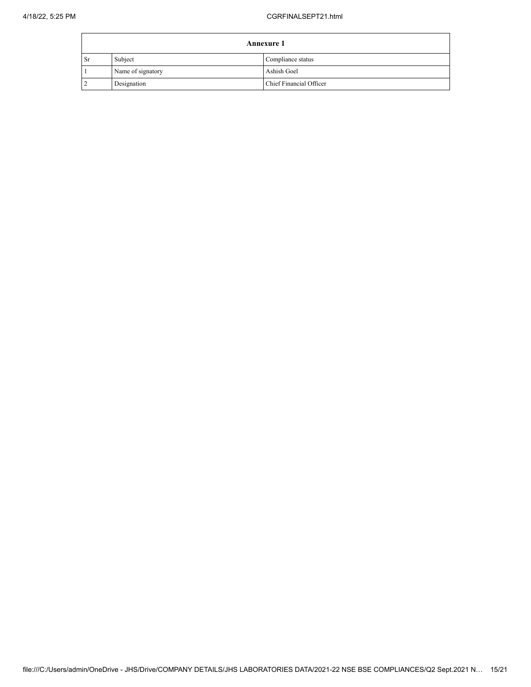$\overline{ }$ 

| <b>Annexure 1</b> |                   |                         |
|-------------------|-------------------|-------------------------|
| <sub>Sr</sub>     | Subject           | Compliance status       |
|                   | Name of signatory | Ashish Goel             |
|                   | Designation       | Chief Financial Officer |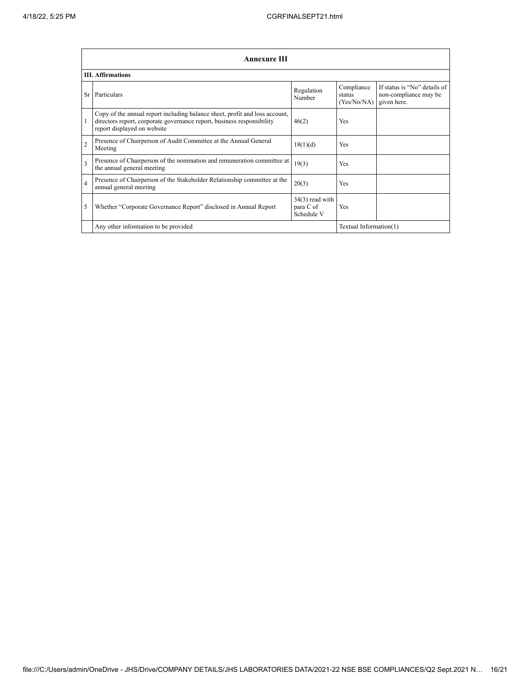|                | Annexure III                                                                                                                                                                         |                                              |                                     |                                                                      |
|----------------|--------------------------------------------------------------------------------------------------------------------------------------------------------------------------------------|----------------------------------------------|-------------------------------------|----------------------------------------------------------------------|
|                | <b>III.</b> Affirmations                                                                                                                                                             |                                              |                                     |                                                                      |
| Sr             | Particulars                                                                                                                                                                          | Regulation<br>Number                         | Compliance<br>status<br>(Yes/No/NA) | If status is "No" details of<br>non-compliance may be<br>given here. |
| 1              | Copy of the annual report including balance sheet, profit and loss account,<br>directors report, corporate governance report, business responsibility<br>report displayed on website | 46(2)                                        | <b>Yes</b>                          |                                                                      |
| $\overline{2}$ | Presence of Chairperson of Audit Committee at the Annual General<br>Meeting                                                                                                          | 18(1)(d)                                     | <b>Yes</b>                          |                                                                      |
| 3              | Presence of Chairperson of the nomination and remuneration committee at<br>the annual general meeting                                                                                | 19(3)                                        | <b>Yes</b>                          |                                                                      |
| $\overline{4}$ | Presence of Chairperson of the Stakeholder Relationship committee at the<br>annual general meeting                                                                                   | 20(3)                                        | <b>Yes</b>                          |                                                                      |
| 5              | Whether "Corporate Governance Report" disclosed in Annual Report                                                                                                                     | $34(3)$ read with<br>para C of<br>Schedule V | <b>Yes</b>                          |                                                                      |
|                | Any other information to be provided<br>Textual Information(1)                                                                                                                       |                                              |                                     |                                                                      |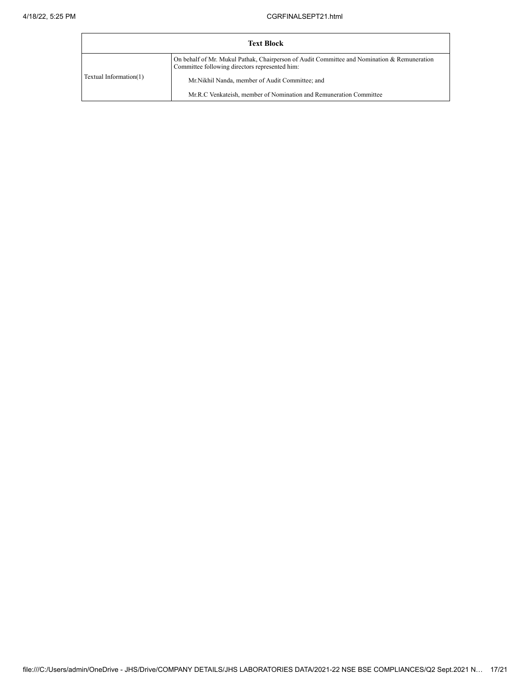| <b>Text Block</b>      |                                                                                                                                               |  |
|------------------------|-----------------------------------------------------------------------------------------------------------------------------------------------|--|
|                        | On behalf of Mr. Mukul Pathak, Chairperson of Audit Committee and Nomination & Remuneration<br>Committee following directors represented him: |  |
| Textual Information(1) | Mr. Nikhil Nanda, member of Audit Committee; and                                                                                              |  |
|                        | Mr.R.C Venkateish, member of Nomination and Remuneration Committee                                                                            |  |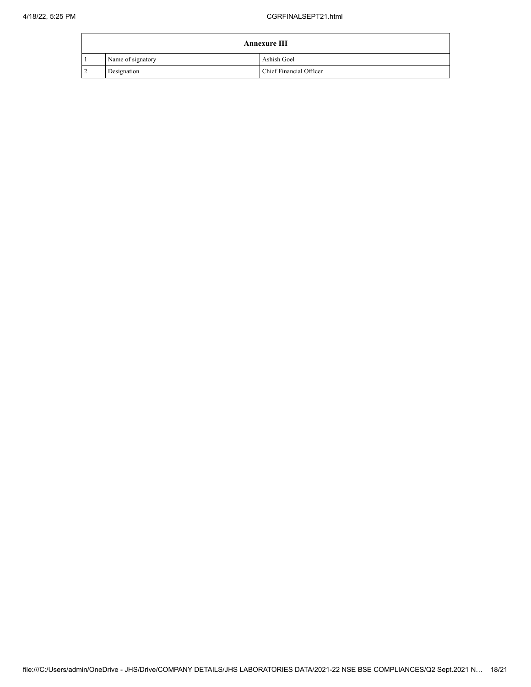| <b>Annexure III</b> |                   |                         |
|---------------------|-------------------|-------------------------|
|                     | Name of signatory | Ashish Goel             |
| $\overline{2}$      | Designation       | Chief Financial Officer |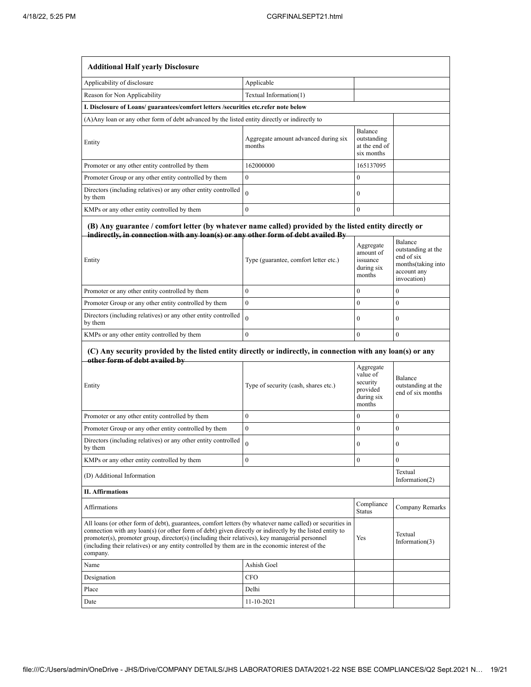| <b>Additional Half yearly Disclosure</b>                                                                                                                                                                                                                                                                                                                                                                                                       |                                                |                                                                       |                                                                                                 |
|------------------------------------------------------------------------------------------------------------------------------------------------------------------------------------------------------------------------------------------------------------------------------------------------------------------------------------------------------------------------------------------------------------------------------------------------|------------------------------------------------|-----------------------------------------------------------------------|-------------------------------------------------------------------------------------------------|
| Applicability of disclosure                                                                                                                                                                                                                                                                                                                                                                                                                    | Applicable                                     |                                                                       |                                                                                                 |
| Reason for Non Applicability                                                                                                                                                                                                                                                                                                                                                                                                                   | Textual Information(1)                         |                                                                       |                                                                                                 |
| I. Disclosure of Loans/ guarantees/comfort letters /securities etc.refer note below                                                                                                                                                                                                                                                                                                                                                            |                                                |                                                                       |                                                                                                 |
| (A) Any loan or any other form of debt advanced by the listed entity directly or indirectly to                                                                                                                                                                                                                                                                                                                                                 |                                                |                                                                       |                                                                                                 |
| Entity                                                                                                                                                                                                                                                                                                                                                                                                                                         | Aggregate amount advanced during six<br>months | Balance<br>outstanding<br>at the end of<br>six months                 |                                                                                                 |
| Promoter or any other entity controlled by them                                                                                                                                                                                                                                                                                                                                                                                                | 162000000                                      | 165137095                                                             |                                                                                                 |
| Promoter Group or any other entity controlled by them                                                                                                                                                                                                                                                                                                                                                                                          | $\mathbf{0}$                                   | $\bf{0}$                                                              |                                                                                                 |
| Directors (including relatives) or any other entity controlled<br>by them                                                                                                                                                                                                                                                                                                                                                                      | $\alpha$                                       | $\boldsymbol{0}$                                                      |                                                                                                 |
| KMPs or any other entity controlled by them                                                                                                                                                                                                                                                                                                                                                                                                    | $\theta$                                       | $\overline{0}$                                                        |                                                                                                 |
| (B) Any guarantee / comfort letter (by whatever name called) provided by the listed entity directly or<br>indirectly, in connection with any loan(s) or any other form of debt availed By<br>Entity                                                                                                                                                                                                                                            | Type (guarantee, comfort letter etc.)          | Aggregate<br>amount of<br>issuance<br>during six<br>months            | Balance<br>outstanding at the<br>end of six<br>months(taking into<br>account any<br>invocation) |
| Promoter or any other entity controlled by them                                                                                                                                                                                                                                                                                                                                                                                                | $\overline{0}$                                 | $\bf{0}$                                                              | 0                                                                                               |
| Promoter Group or any other entity controlled by them                                                                                                                                                                                                                                                                                                                                                                                          | $\mathbf{0}$                                   | $\overline{0}$                                                        | $\mathbf{0}$                                                                                    |
| Directors (including relatives) or any other entity controlled<br>by them                                                                                                                                                                                                                                                                                                                                                                      | $\overline{0}$                                 | $\mathbf{0}$                                                          | $\boldsymbol{0}$                                                                                |
| KMPs or any other entity controlled by them                                                                                                                                                                                                                                                                                                                                                                                                    | $\overline{0}$                                 | $\overline{0}$                                                        | $\boldsymbol{0}$                                                                                |
| (C) Any security provided by the listed entity directly or indirectly, in connection with any loan(s) or any<br>other form of debt availed by                                                                                                                                                                                                                                                                                                  |                                                |                                                                       |                                                                                                 |
| Entity                                                                                                                                                                                                                                                                                                                                                                                                                                         | Type of security (cash, shares etc.)           | Aggregate<br>value of<br>security<br>provided<br>during six<br>months | Balance<br>outstanding at the<br>end of six months                                              |
| Promoter or any other entity controlled by them                                                                                                                                                                                                                                                                                                                                                                                                | $\overline{0}$                                 | $\mathbf{0}$                                                          | $\mathbf{0}$                                                                                    |
| Promoter Group or any other entity controlled by them                                                                                                                                                                                                                                                                                                                                                                                          | $\overline{0}$                                 | $\overline{0}$                                                        | $\boldsymbol{0}$                                                                                |
| Directors (including relatives) or any other entity controlled<br>by them                                                                                                                                                                                                                                                                                                                                                                      |                                                | $\bf{0}$                                                              | $\boldsymbol{0}$                                                                                |
| KMPs or any other entity controlled by them                                                                                                                                                                                                                                                                                                                                                                                                    | $\overline{0}$                                 | 0                                                                     | $\boldsymbol{0}$                                                                                |
| Textual<br>(D) Additional Information<br>Information $(2)$                                                                                                                                                                                                                                                                                                                                                                                     |                                                |                                                                       |                                                                                                 |
| <b>II. Affirmations</b>                                                                                                                                                                                                                                                                                                                                                                                                                        |                                                |                                                                       |                                                                                                 |
| <b>Affirmations</b>                                                                                                                                                                                                                                                                                                                                                                                                                            |                                                | Compliance<br>Status                                                  | Company Remarks                                                                                 |
| All loans (or other form of debt), guarantees, comfort letters (by whatever name called) or securities in<br>connection with any loan(s) (or other form of debt) given directly or indirectly by the listed entity to<br>promoter(s), promoter group, director(s) (including their relatives), key managerial personnel<br>Yes<br>(including their relatives) or any entity controlled by them are in the economic interest of the<br>company. |                                                |                                                                       | Textual<br>Information(3)                                                                       |
| Name                                                                                                                                                                                                                                                                                                                                                                                                                                           | Ashish Goel                                    |                                                                       |                                                                                                 |
| Designation                                                                                                                                                                                                                                                                                                                                                                                                                                    | CFO                                            |                                                                       |                                                                                                 |
| Place                                                                                                                                                                                                                                                                                                                                                                                                                                          | Delhi                                          |                                                                       |                                                                                                 |
| Date                                                                                                                                                                                                                                                                                                                                                                                                                                           | 11-10-2021                                     |                                                                       |                                                                                                 |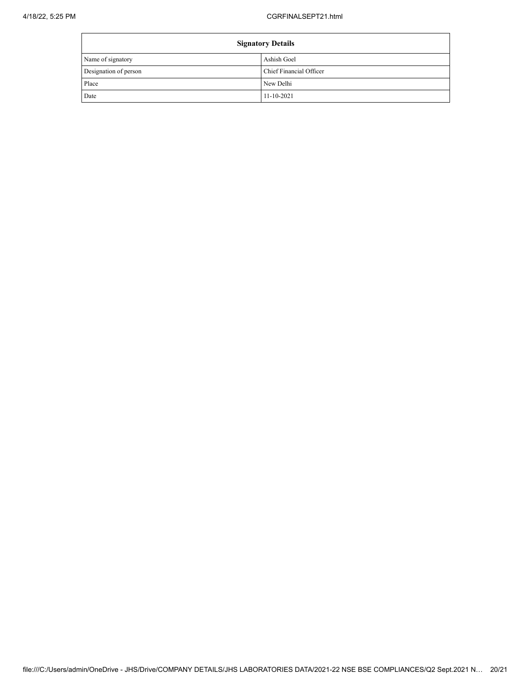| <b>Signatory Details</b> |                         |
|--------------------------|-------------------------|
| Name of signatory        | Ashish Goel             |
| Designation of person    | Chief Financial Officer |
| Place                    | New Delhi               |
| Date                     | $11 - 10 - 2021$        |